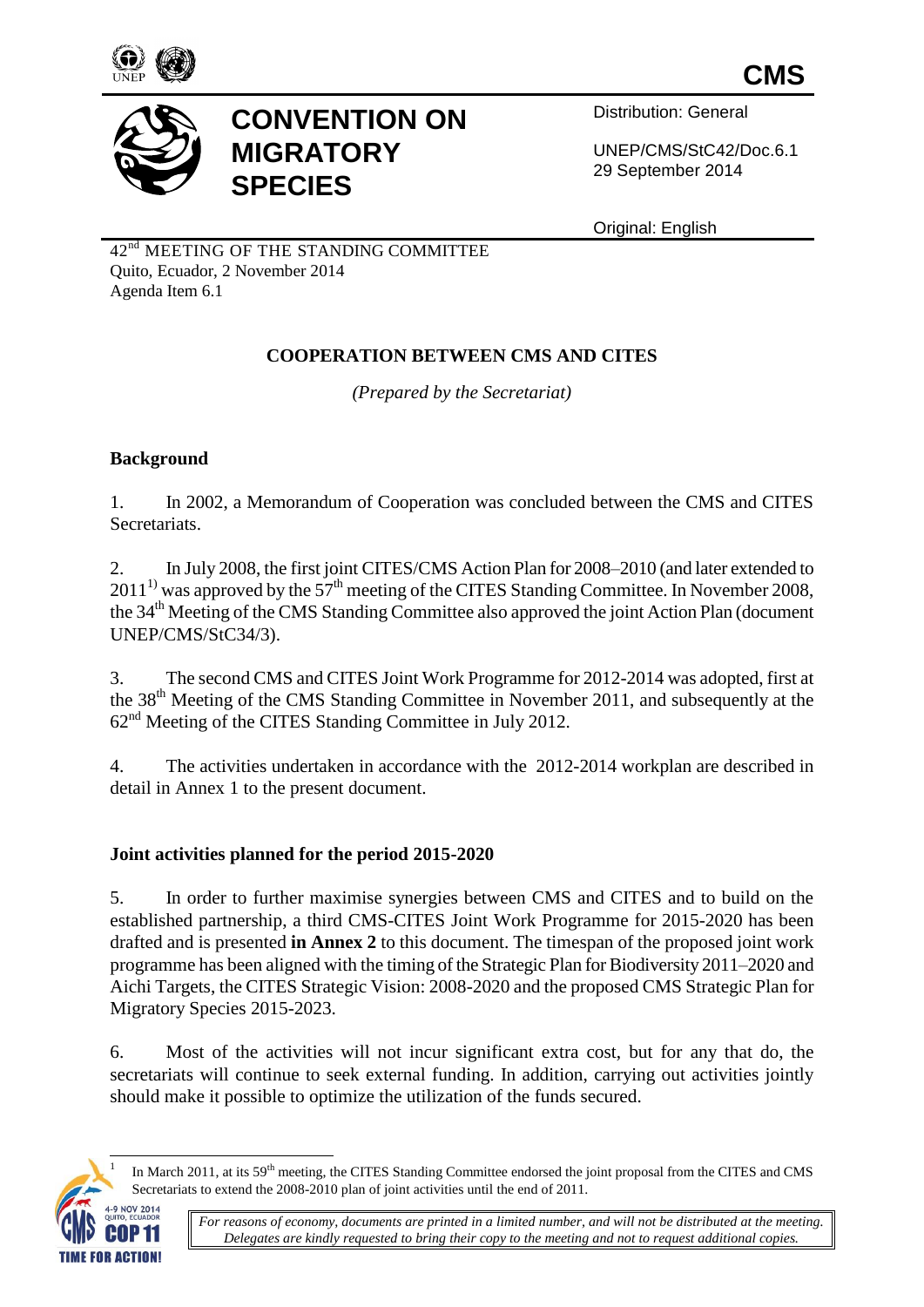



# **CONVENTION ON MIGRATORY SPECIES**

Distribution: General

UNEP/CMS/StC42/Doc.6.1 29 September 2014

Original: English

42<sup>nd</sup> MEETING OF THE STANDING COMMITTEE Quito, Ecuador, 2 November 2014 Agenda Item 6.1

# **COOPERATION BETWEEN CMS AND CITES**

*(Prepared by the Secretariat)*

# **Background**

1. In 2002, a Memorandum of Cooperation was concluded between the CMS and CITES Secretariats.

2. In July 2008, the first joint CITES/CMS Action Plan for 2008–2010 (and later extended to  $2011<sup>1</sup>$  was approved by the 57<sup>th</sup> meeting of the CITES Standing Committee. In November 2008, the 34<sup>th</sup> Meeting of the CMS Standing Committee also approved the joint Action Plan (document UNEP/CMS/StC34/3).

3. The second CMS and CITES Joint Work Programme for 2012-2014 was adopted, first at the 38th Meeting of the CMS Standing Committee in November 2011, and subsequently at the 62nd Meeting of the CITES Standing Committee in July 2012.

4. The activities undertaken in accordance with the 2012-2014 workplan are described in detail in Annex 1 to the present document.

# **Joint activities planned for the period 2015-2020**

5. In order to further maximise synergies between CMS and CITES and to build on the established partnership, a third CMS-CITES Joint Work Programme for 2015-2020 has been drafted and is presented **in Annex 2** to this document. The timespan of the proposed joint work programme has been aligned with the timing of the Strategic Plan for Biodiversity 2011–2020 and Aichi Targets, the CITES Strategic Vision: 2008-2020 and the proposed CMS Strategic Plan for Migratory Species 2015-2023.

6. Most of the activities will not incur significant extra cost, but for any that do, the secretariats will continue to seek external funding. In addition, carrying out activities jointly should make it possible to optimize the utilization of the funds secured.



 $\overline{a}$ 

In March 2011, at its 59<sup>th</sup> meeting, the CITES Standing Committee endorsed the joint proposal from the CITES and CMS Secretariats to extend the 2008-2010 plan of joint activities until the end of 2011.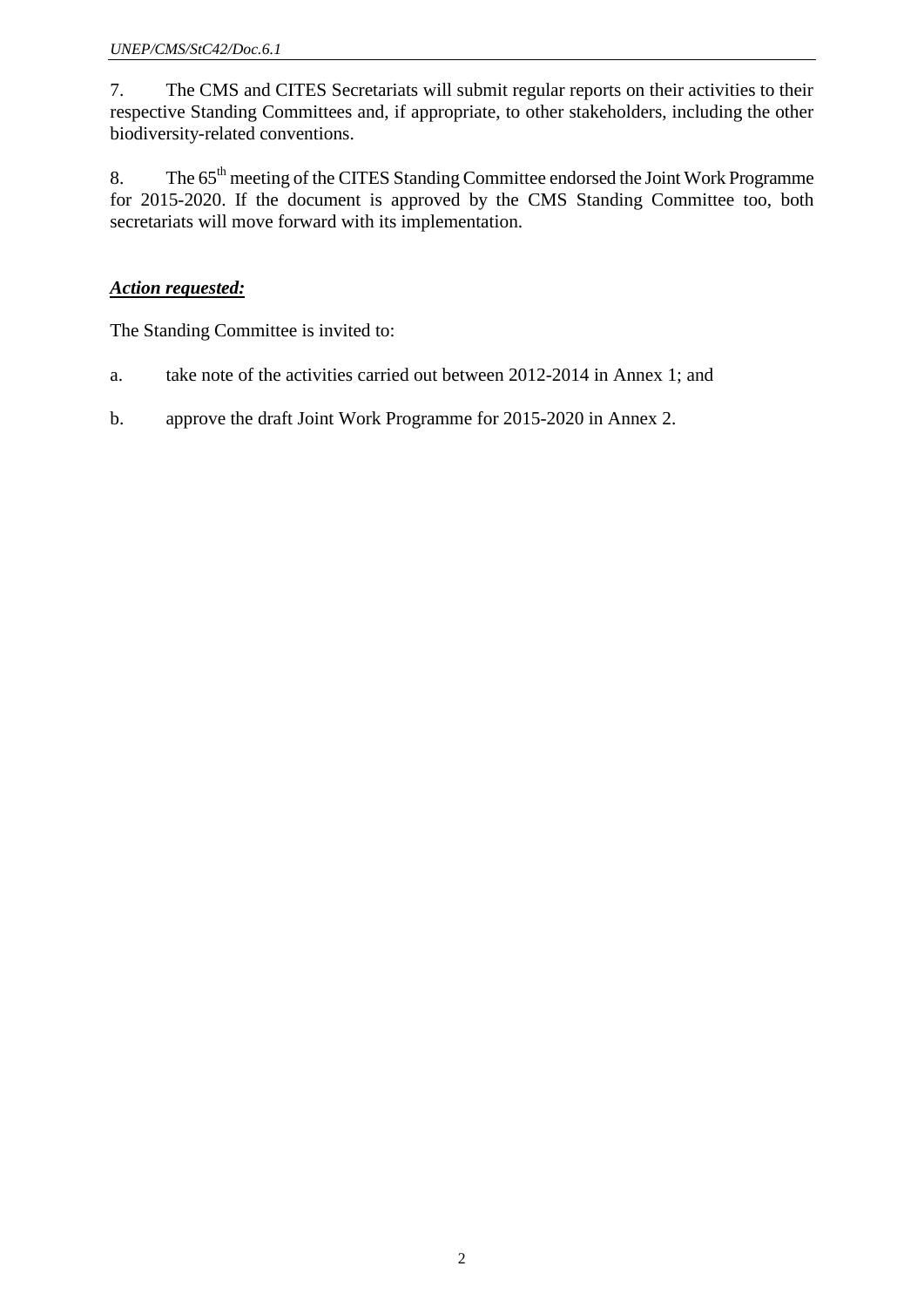7. The CMS and CITES Secretariats will submit regular reports on their activities to their respective Standing Committees and, if appropriate, to other stakeholders, including the other biodiversity-related conventions.

8. The 65<sup>th</sup> meeting of the CITES Standing Committee endorsed the Joint Work Programme for 2015-2020. If the document is approved by the CMS Standing Committee too, both secretariats will move forward with its implementation.

# *Action requested:*

The Standing Committee is invited to:

- a. take note of the activities carried out between 2012-2014 in Annex 1; and
- b. approve the draft Joint Work Programme for 2015-2020 in Annex 2.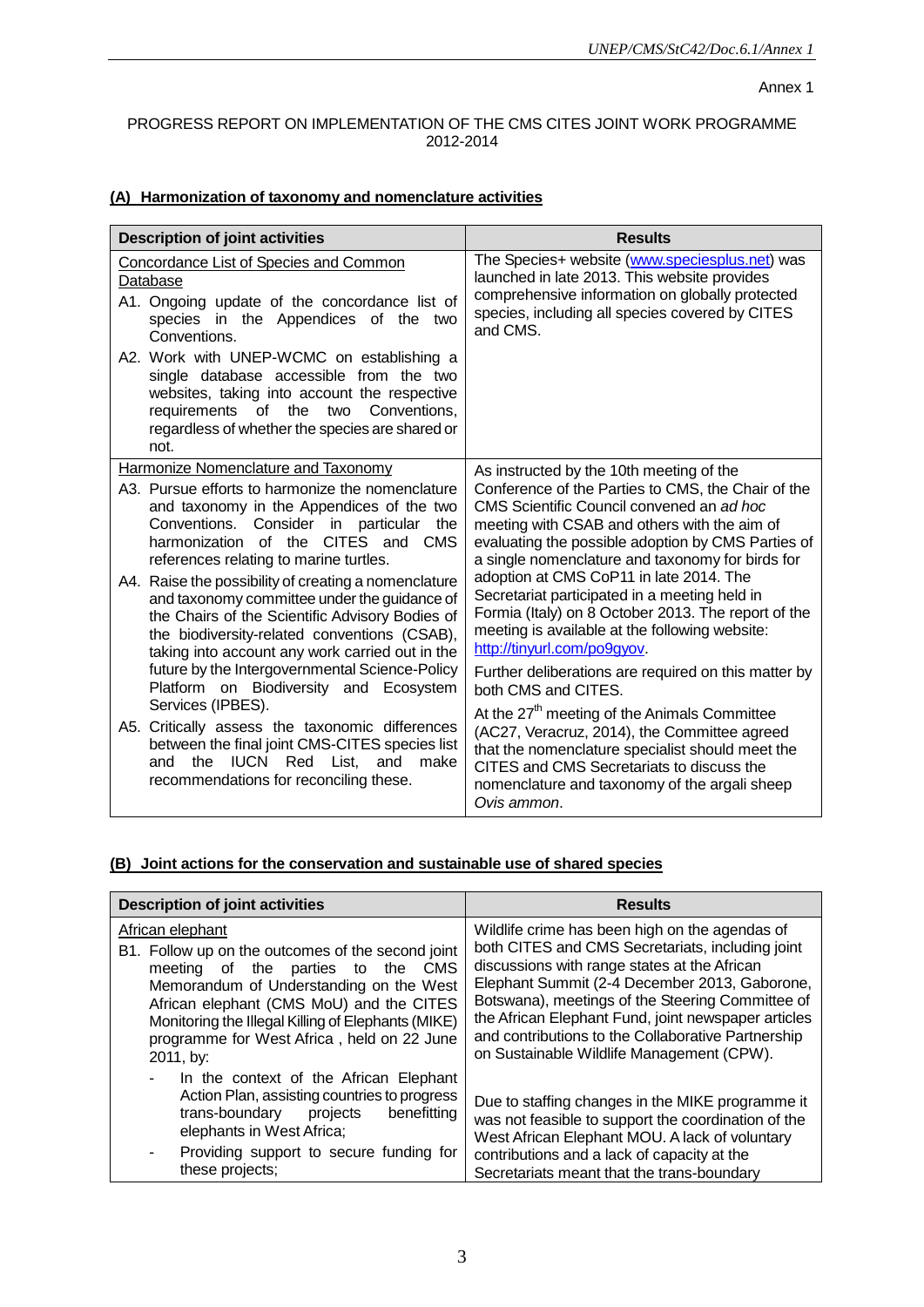#### Annex 1

#### PROGRESS REPORT ON IMPLEMENTATION OF THE CMS CITES JOINT WORK PROGRAMME 2012-2014

### **(A) Harmonization of taxonomy and nomenclature activities**

| <b>Description of joint activities</b>                                                                                                                                                                                                                                                                                                                 | <b>Results</b>                                                                                                                                                                                                                                                                                                  |
|--------------------------------------------------------------------------------------------------------------------------------------------------------------------------------------------------------------------------------------------------------------------------------------------------------------------------------------------------------|-----------------------------------------------------------------------------------------------------------------------------------------------------------------------------------------------------------------------------------------------------------------------------------------------------------------|
| <b>Concordance List of Species and Common</b><br>Database<br>A1. Ongoing update of the concordance list of<br>species in the Appendices of the two<br>Conventions.                                                                                                                                                                                     | The Species+ website (www.speciesplus.net) was<br>launched in late 2013. This website provides<br>comprehensive information on globally protected<br>species, including all species covered by CITES<br>and CMS.                                                                                                |
| A2. Work with UNEP-WCMC on establishing a<br>single database accessible from the two<br>websites, taking into account the respective<br>requirements of the<br>two<br>Conventions,<br>regardless of whether the species are shared or<br>not.                                                                                                          |                                                                                                                                                                                                                                                                                                                 |
| <b>Harmonize Nomenclature and Taxonomy</b><br>A3. Pursue efforts to harmonize the nomenclature<br>and taxonomy in the Appendices of the two<br>Conventions.<br>Consider in particular<br>the<br>CITES and CMS<br>harmonization of the<br>references relating to marine turtles.                                                                        | As instructed by the 10th meeting of the<br>Conference of the Parties to CMS, the Chair of the<br>CMS Scientific Council convened an ad hoc<br>meeting with CSAB and others with the aim of<br>evaluating the possible adoption by CMS Parties of<br>a single nomenclature and taxonomy for birds for           |
| A4. Raise the possibility of creating a nomenclature<br>and taxonomy committee under the guidance of<br>the Chairs of the Scientific Advisory Bodies of<br>the biodiversity-related conventions (CSAB),<br>taking into account any work carried out in the<br>future by the Intergovernmental Science-Policy<br>Platform on Biodiversity and Ecosystem | adoption at CMS CoP11 in late 2014. The<br>Secretariat participated in a meeting held in<br>Formia (Italy) on 8 October 2013. The report of the<br>meeting is available at the following website:<br>http://tinyurl.com/po9gyov.<br>Further deliberations are required on this matter by<br>both CMS and CITES. |
| Services (IPBES).<br>A5. Critically assess the taxonomic differences<br>between the final joint CMS-CITES species list<br><b>IUCN</b> Red List,<br>the<br>and<br>make<br>and<br>recommendations for reconciling these.                                                                                                                                 | At the 27 <sup>th</sup> meeting of the Animals Committee<br>(AC27, Veracruz, 2014), the Committee agreed<br>that the nomenclature specialist should meet the<br>CITES and CMS Secretariats to discuss the<br>nomenclature and taxonomy of the argali sheep<br>Ovis ammon.                                       |

### **(B) Joint actions for the conservation and sustainable use of shared species**

| <b>Description of joint activities</b>                                                                                                                                                                                                                                                                                       | <b>Results</b>                                                                                                                                                                                                                                                                                                                                                                                                    |
|------------------------------------------------------------------------------------------------------------------------------------------------------------------------------------------------------------------------------------------------------------------------------------------------------------------------------|-------------------------------------------------------------------------------------------------------------------------------------------------------------------------------------------------------------------------------------------------------------------------------------------------------------------------------------------------------------------------------------------------------------------|
| African elephant<br>B1. Follow up on the outcomes of the second joint<br>meeting of the parties to the<br><b>CMS</b><br>Memorandum of Understanding on the West<br>African elephant (CMS MoU) and the CITES<br>Monitoring the Illegal Killing of Elephants (MIKE)<br>programme for West Africa, held on 22 June<br>2011, by: | Wildlife crime has been high on the agendas of<br>both CITES and CMS Secretariats, including joint<br>discussions with range states at the African<br>Elephant Summit (2-4 December 2013, Gaborone,<br>Botswana), meetings of the Steering Committee of<br>the African Elephant Fund, joint newspaper articles<br>and contributions to the Collaborative Partnership<br>on Sustainable Wildlife Management (CPW). |
| In the context of the African Elephant<br>Action Plan, assisting countries to progress<br>projects<br>benefitting<br>trans-boundary<br>elephants in West Africa;<br>Providing support to secure funding for<br>these projects;                                                                                               | Due to staffing changes in the MIKE programme it<br>was not feasible to support the coordination of the<br>West African Elephant MOU. A lack of voluntary<br>contributions and a lack of capacity at the<br>Secretariats meant that the trans-boundary                                                                                                                                                            |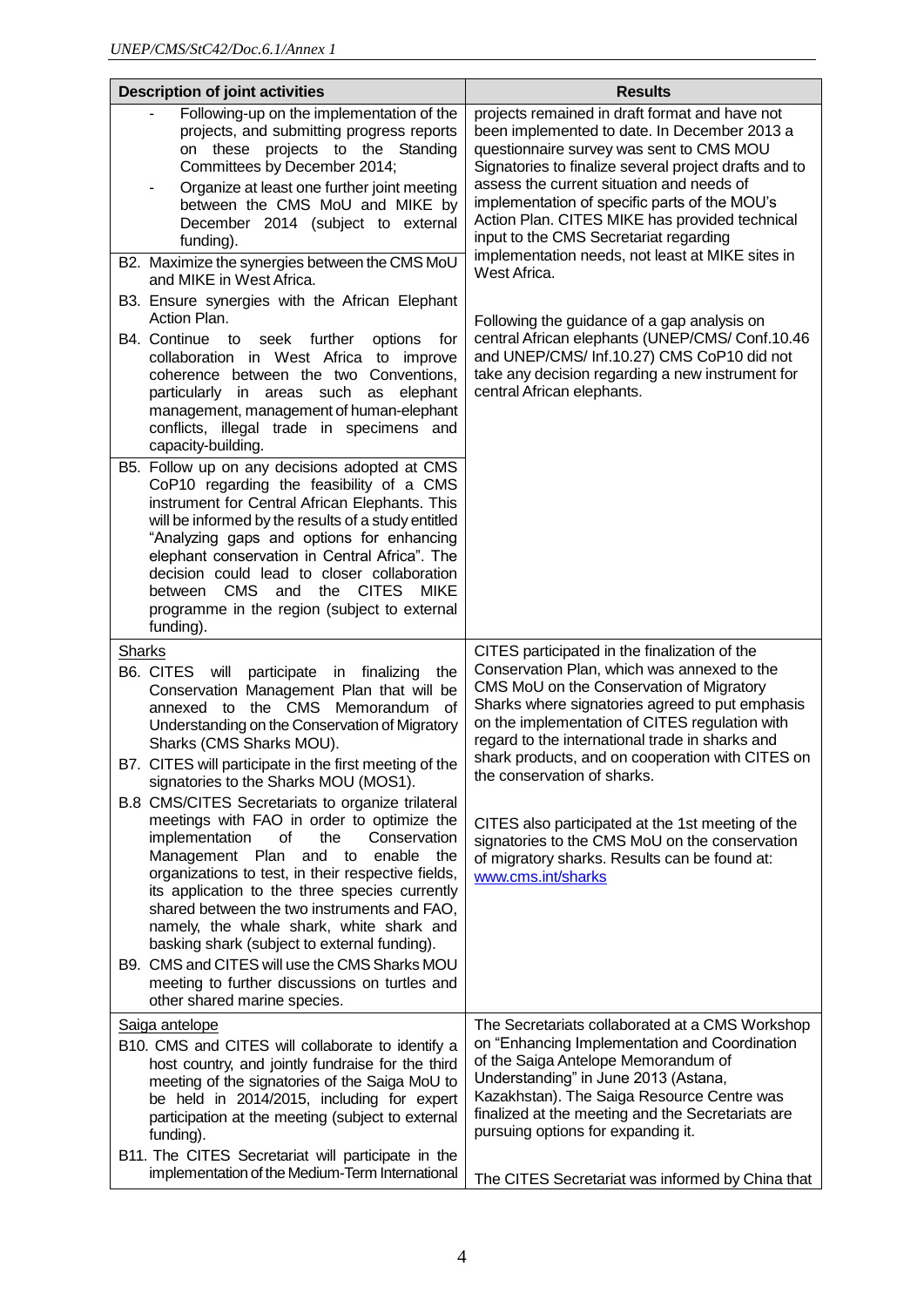| <b>Description of joint activities</b>                                                                                                                                                                                                                                                                                                                                                                                                                      | <b>Results</b>                                                                                                                                                                                                                                                                                                                                                                                                                                                    |
|-------------------------------------------------------------------------------------------------------------------------------------------------------------------------------------------------------------------------------------------------------------------------------------------------------------------------------------------------------------------------------------------------------------------------------------------------------------|-------------------------------------------------------------------------------------------------------------------------------------------------------------------------------------------------------------------------------------------------------------------------------------------------------------------------------------------------------------------------------------------------------------------------------------------------------------------|
| Following-up on the implementation of the<br>projects, and submitting progress reports<br>on these projects to the Standing<br>Committees by December 2014;<br>Organize at least one further joint meeting<br>۰<br>between the CMS MoU and MIKE by<br>December 2014 (subject to external<br>funding).<br>B2. Maximize the synergies between the CMS MoU<br>and MIKE in West Africa.<br>B3. Ensure synergies with the African Elephant<br>Action Plan.       | projects remained in draft format and have not<br>been implemented to date. In December 2013 a<br>questionnaire survey was sent to CMS MOU<br>Signatories to finalize several project drafts and to<br>assess the current situation and needs of<br>implementation of specific parts of the MOU's<br>Action Plan. CITES MIKE has provided technical<br>input to the CMS Secretariat regarding<br>implementation needs, not least at MIKE sites in<br>West Africa. |
| B4. Continue to<br>seek further<br>options<br>for<br>collaboration in West Africa to improve<br>coherence between the two Conventions,<br>particularly in areas such<br>elephant<br>as<br>management, management of human-elephant<br>conflicts, illegal trade in specimens and<br>capacity-building.                                                                                                                                                       | Following the guidance of a gap analysis on<br>central African elephants (UNEP/CMS/ Conf.10.46<br>and UNEP/CMS/ Inf.10.27) CMS CoP10 did not<br>take any decision regarding a new instrument for<br>central African elephants.                                                                                                                                                                                                                                    |
| B5. Follow up on any decisions adopted at CMS<br>CoP10 regarding the feasibility of a CMS<br>instrument for Central African Elephants. This<br>will be informed by the results of a study entitled<br>"Analyzing gaps and options for enhancing<br>elephant conservation in Central Africa". The<br>decision could lead to closer collaboration<br>between CMS<br>and the CITES<br><b>MIKE</b><br>programme in the region (subject to external<br>funding). |                                                                                                                                                                                                                                                                                                                                                                                                                                                                   |
| <b>Sharks</b><br>B6. CITES<br>will<br>participate<br>finalizing<br>in<br>the<br>Conservation Management Plan that will be<br>the CMS<br>Memorandum<br>annexed to<br>οf<br>Understanding on the Conservation of Migratory<br>Sharks (CMS Sharks MOU).<br>B7. CITES will participate in the first meeting of the                                                                                                                                              | CITES participated in the finalization of the<br>Conservation Plan, which was annexed to the<br>CMS MoU on the Conservation of Migratory<br>Sharks where signatories agreed to put emphasis<br>on the implementation of CITES regulation with<br>regard to the international trade in sharks and<br>shark products, and on cooperation with CITES on                                                                                                              |
| signatories to the Sharks MOU (MOS1).<br><b>B.8 CMS/CITES Secretariats to organize trilateral</b><br>meetings with FAO in order to optimize the<br>implementation<br>Conservation<br>οf<br>the<br>Management Plan<br>and<br>enable the<br>to<br>organizations to test, in their respective fields,<br>its application to the three species currently<br>shared between the two instruments and FAO,<br>namely, the whale shark, white shark and             | the conservation of sharks.<br>CITES also participated at the 1st meeting of the<br>signatories to the CMS MoU on the conservation<br>of migratory sharks. Results can be found at:<br>www.cms.int/sharks                                                                                                                                                                                                                                                         |
| basking shark (subject to external funding).<br>B9. CMS and CITES will use the CMS Sharks MOU<br>meeting to further discussions on turtles and<br>other shared marine species.                                                                                                                                                                                                                                                                              |                                                                                                                                                                                                                                                                                                                                                                                                                                                                   |
| Saiga antelope<br>B10. CMS and CITES will collaborate to identify a<br>host country, and jointly fundraise for the third<br>meeting of the signatories of the Saiga MoU to<br>be held in 2014/2015, including for expert<br>participation at the meeting (subject to external<br>funding).<br>B11. The CITES Secretariat will participate in the                                                                                                            | The Secretariats collaborated at a CMS Workshop<br>on "Enhancing Implementation and Coordination<br>of the Saiga Antelope Memorandum of<br>Understanding" in June 2013 (Astana,<br>Kazakhstan). The Saiga Resource Centre was<br>finalized at the meeting and the Secretariats are<br>pursuing options for expanding it.                                                                                                                                          |
| implementation of the Medium-Term International                                                                                                                                                                                                                                                                                                                                                                                                             | The CITES Secretariat was informed by China that                                                                                                                                                                                                                                                                                                                                                                                                                  |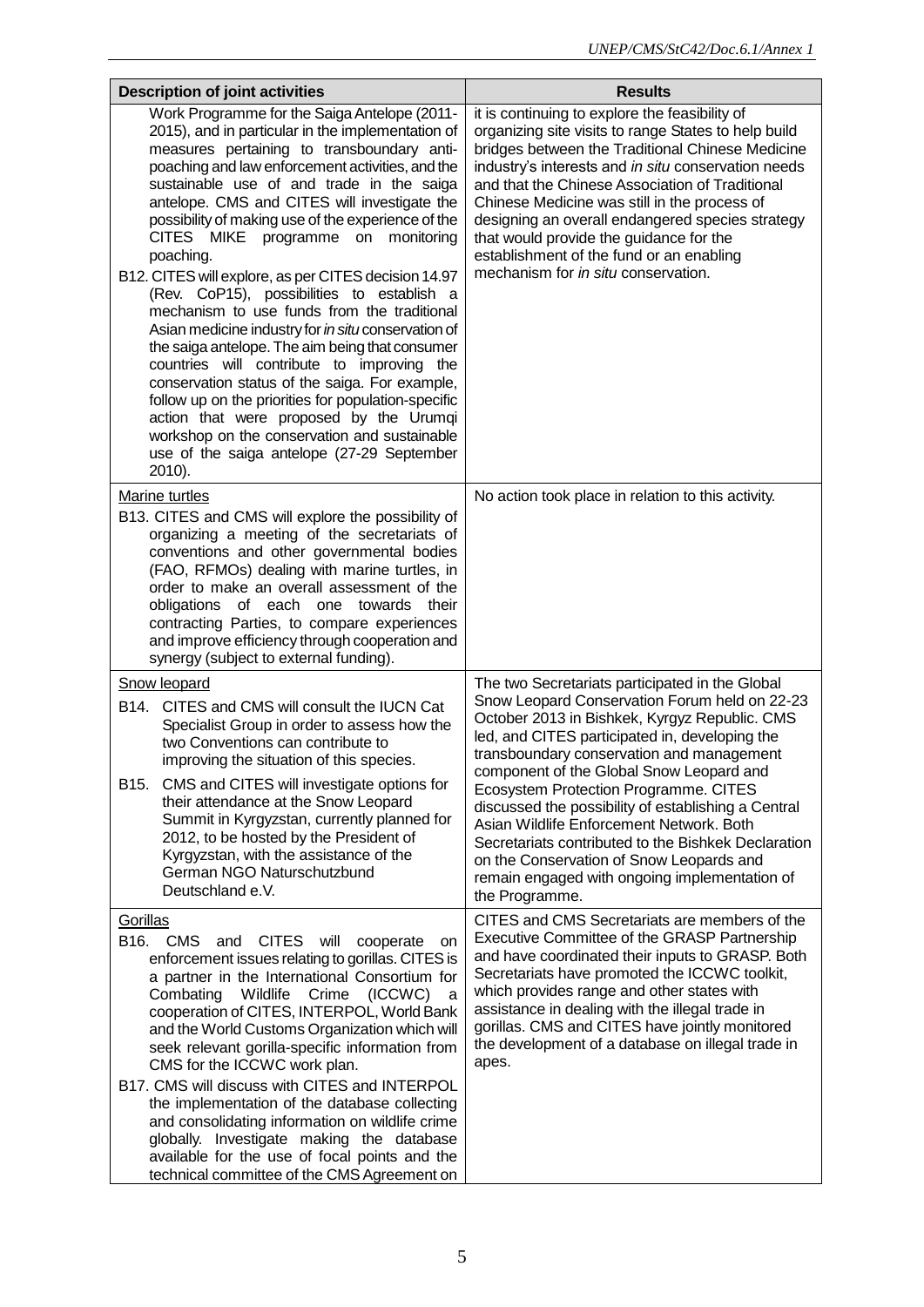| <b>Description of joint activities</b>                                                                                                                                                                                                                                                                                                                                                                                                                                                                                                                                                                                                                                                                                                                                                                                                                                                                                                                                                | <b>Results</b>                                                                                                                                                                                                                                                                                                                                                                                                                                                                                                                                              |
|---------------------------------------------------------------------------------------------------------------------------------------------------------------------------------------------------------------------------------------------------------------------------------------------------------------------------------------------------------------------------------------------------------------------------------------------------------------------------------------------------------------------------------------------------------------------------------------------------------------------------------------------------------------------------------------------------------------------------------------------------------------------------------------------------------------------------------------------------------------------------------------------------------------------------------------------------------------------------------------|-------------------------------------------------------------------------------------------------------------------------------------------------------------------------------------------------------------------------------------------------------------------------------------------------------------------------------------------------------------------------------------------------------------------------------------------------------------------------------------------------------------------------------------------------------------|
| Work Programme for the Saiga Antelope (2011-<br>2015), and in particular in the implementation of<br>measures pertaining to transboundary anti-<br>poaching and law enforcement activities, and the<br>sustainable use of and trade in the saiga<br>antelope. CMS and CITES will investigate the<br>possibility of making use of the experience of the<br>CITES MIKE<br>programme on monitoring<br>poaching.<br>B12. CITES will explore, as per CITES decision 14.97<br>(Rev. CoP15), possibilities to establish a<br>mechanism to use funds from the traditional<br>Asian medicine industry for in situ conservation of<br>the saiga antelope. The aim being that consumer<br>countries will contribute to improving the<br>conservation status of the saiga. For example,<br>follow up on the priorities for population-specific<br>action that were proposed by the Urumqi<br>workshop on the conservation and sustainable<br>use of the saiga antelope (27-29 September<br>2010). | it is continuing to explore the feasibility of<br>organizing site visits to range States to help build<br>bridges between the Traditional Chinese Medicine<br>industry's interests and in situ conservation needs<br>and that the Chinese Association of Traditional<br>Chinese Medicine was still in the process of<br>designing an overall endangered species strategy<br>that would provide the guidance for the<br>establishment of the fund or an enabling<br>mechanism for in situ conservation.                                                      |
| Marine turtles<br>B13. CITES and CMS will explore the possibility of<br>organizing a meeting of the secretariats of<br>conventions and other governmental bodies<br>(FAO, RFMOs) dealing with marine turtles, in<br>order to make an overall assessment of the<br>obligations of each one towards their<br>contracting Parties, to compare experiences<br>and improve efficiency through cooperation and<br>synergy (subject to external funding).                                                                                                                                                                                                                                                                                                                                                                                                                                                                                                                                    | No action took place in relation to this activity.                                                                                                                                                                                                                                                                                                                                                                                                                                                                                                          |
| Snow leopard                                                                                                                                                                                                                                                                                                                                                                                                                                                                                                                                                                                                                                                                                                                                                                                                                                                                                                                                                                          | The two Secretariats participated in the Global                                                                                                                                                                                                                                                                                                                                                                                                                                                                                                             |
| CITES and CMS will consult the IUCN Cat<br>B14.<br>Specialist Group in order to assess how the<br>two Conventions can contribute to<br>improving the situation of this species.<br>CMS and CITES will investigate options for<br>B15.<br>their attendance at the Snow Leopard<br>Summit in Kyrgyzstan, currently planned for<br>2012, to be hosted by the President of<br>Kyrgyzstan, with the assistance of the<br>German NGO Naturschutzbund<br>Deutschland e.V.                                                                                                                                                                                                                                                                                                                                                                                                                                                                                                                    | Snow Leopard Conservation Forum held on 22-23<br>October 2013 in Bishkek, Kyrgyz Republic. CMS<br>led, and CITES participated in, developing the<br>transboundary conservation and management<br>component of the Global Snow Leopard and<br>Ecosystem Protection Programme. CITES<br>discussed the possibility of establishing a Central<br>Asian Wildlife Enforcement Network. Both<br>Secretariats contributed to the Bishkek Declaration<br>on the Conservation of Snow Leopards and<br>remain engaged with ongoing implementation of<br>the Programme. |
| Gorillas<br>B <sub>16</sub> . CMS<br><b>CITES</b><br>will<br>and<br>cooperate<br>on<br>enforcement issues relating to gorillas. CITES is<br>a partner in the International Consortium for<br>Combating<br>Wildlife<br>Crime<br>(ICCWC)<br>a<br>cooperation of CITES, INTERPOL, World Bank<br>and the World Customs Organization which will<br>seek relevant gorilla-specific information from<br>CMS for the ICCWC work plan.<br>B17. CMS will discuss with CITES and INTERPOL<br>the implementation of the database collecting<br>and consolidating information on wildlife crime<br>globally. Investigate making the database<br>available for the use of focal points and the<br>technical committee of the CMS Agreement on                                                                                                                                                                                                                                                       | CITES and CMS Secretariats are members of the<br>Executive Committee of the GRASP Partnership<br>and have coordinated their inputs to GRASP. Both<br>Secretariats have promoted the ICCWC toolkit,<br>which provides range and other states with<br>assistance in dealing with the illegal trade in<br>gorillas. CMS and CITES have jointly monitored<br>the development of a database on illegal trade in<br>apes.                                                                                                                                         |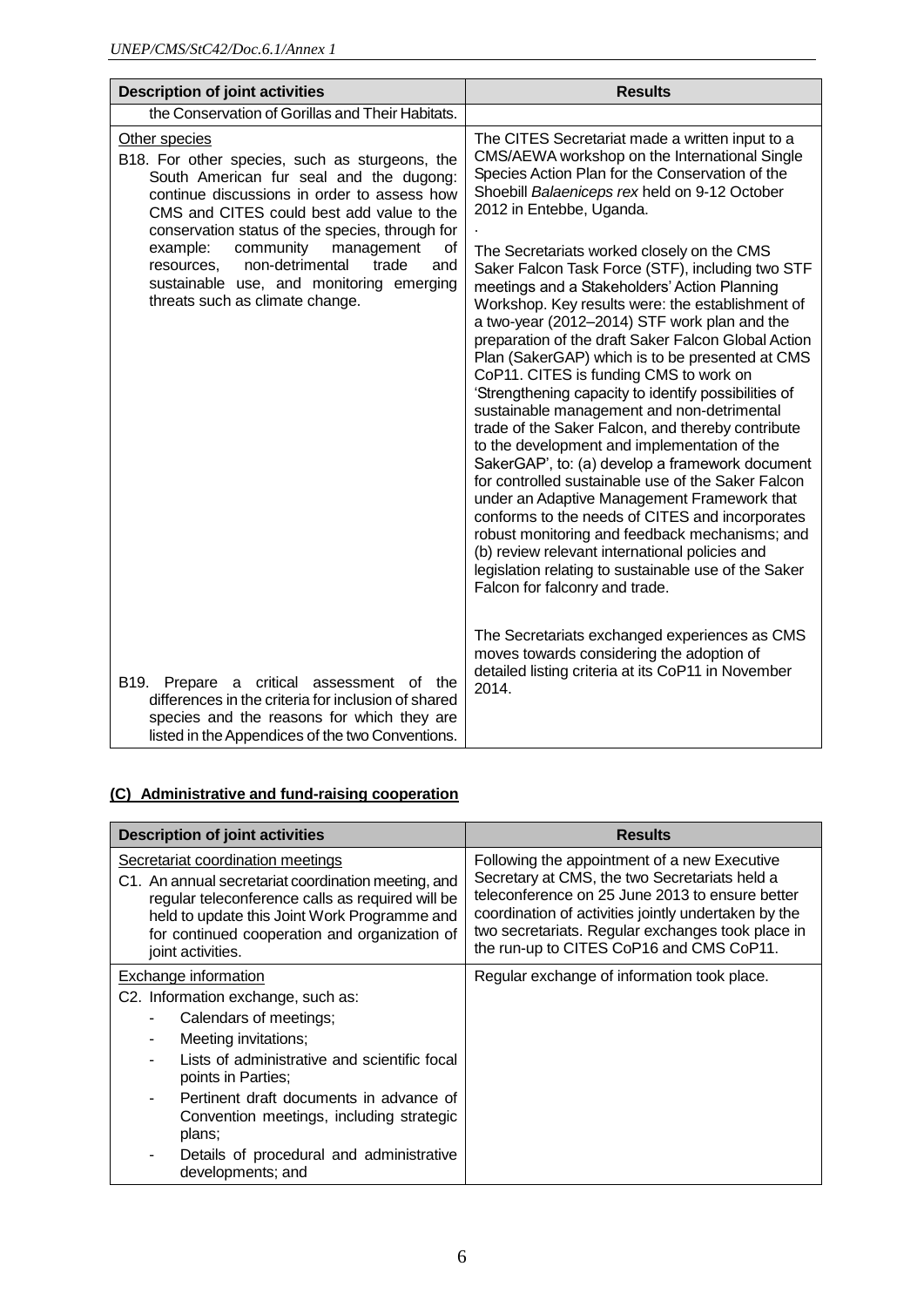| <b>Description of joint activities</b>                                                                                                                                                                                                                                                                                                                                                                                                 | <b>Results</b>                                                                                                                                                                                                                                                                                                                                                                                                                                                                                                                                                                                                                                                                                                                                                                                                                                                                                                                                                                                                                                                                                                                                                                                                                                                 |
|----------------------------------------------------------------------------------------------------------------------------------------------------------------------------------------------------------------------------------------------------------------------------------------------------------------------------------------------------------------------------------------------------------------------------------------|----------------------------------------------------------------------------------------------------------------------------------------------------------------------------------------------------------------------------------------------------------------------------------------------------------------------------------------------------------------------------------------------------------------------------------------------------------------------------------------------------------------------------------------------------------------------------------------------------------------------------------------------------------------------------------------------------------------------------------------------------------------------------------------------------------------------------------------------------------------------------------------------------------------------------------------------------------------------------------------------------------------------------------------------------------------------------------------------------------------------------------------------------------------------------------------------------------------------------------------------------------------|
| the Conservation of Gorillas and Their Habitats.                                                                                                                                                                                                                                                                                                                                                                                       |                                                                                                                                                                                                                                                                                                                                                                                                                                                                                                                                                                                                                                                                                                                                                                                                                                                                                                                                                                                                                                                                                                                                                                                                                                                                |
| Other species<br>B18. For other species, such as sturgeons, the<br>South American fur seal and the dugong:<br>continue discussions in order to assess how<br>CMS and CITES could best add value to the<br>conservation status of the species, through for<br>community<br>example:<br>management<br>of<br>non-detrimental<br>trade<br>and<br>resources,<br>sustainable use, and monitoring emerging<br>threats such as climate change. | The CITES Secretariat made a written input to a<br>CMS/AEWA workshop on the International Single<br>Species Action Plan for the Conservation of the<br>Shoebill Balaeniceps rex held on 9-12 October<br>2012 in Entebbe, Uganda.<br>The Secretariats worked closely on the CMS<br>Saker Falcon Task Force (STF), including two STF<br>meetings and a Stakeholders' Action Planning<br>Workshop. Key results were: the establishment of<br>a two-year (2012-2014) STF work plan and the<br>preparation of the draft Saker Falcon Global Action<br>Plan (SakerGAP) which is to be presented at CMS<br>CoP11. CITES is funding CMS to work on<br>'Strengthening capacity to identify possibilities of<br>sustainable management and non-detrimental<br>trade of the Saker Falcon, and thereby contribute<br>to the development and implementation of the<br>SakerGAP', to: (a) develop a framework document<br>for controlled sustainable use of the Saker Falcon<br>under an Adaptive Management Framework that<br>conforms to the needs of CITES and incorporates<br>robust monitoring and feedback mechanisms; and<br>(b) review relevant international policies and<br>legislation relating to sustainable use of the Saker<br>Falcon for falconry and trade. |
| B19.<br>Prepare a critical assessment of the<br>differences in the criteria for inclusion of shared<br>species and the reasons for which they are<br>listed in the Appendices of the two Conventions.                                                                                                                                                                                                                                  | The Secretariats exchanged experiences as CMS<br>moves towards considering the adoption of<br>detailed listing criteria at its CoP11 in November<br>2014.                                                                                                                                                                                                                                                                                                                                                                                                                                                                                                                                                                                                                                                                                                                                                                                                                                                                                                                                                                                                                                                                                                      |

## **(C) Administrative and fund-raising cooperation**

| <b>Description of joint activities</b>                                                                                                                                                                                                                                              | <b>Results</b>                                                                                                                                                                                                                                                                                            |
|-------------------------------------------------------------------------------------------------------------------------------------------------------------------------------------------------------------------------------------------------------------------------------------|-----------------------------------------------------------------------------------------------------------------------------------------------------------------------------------------------------------------------------------------------------------------------------------------------------------|
| Secretariat coordination meetings<br>C1. An annual secretariat coordination meeting, and<br>regular teleconference calls as required will be<br>held to update this Joint Work Programme and<br>for continued cooperation and organization of<br>joint activities.                  | Following the appointment of a new Executive<br>Secretary at CMS, the two Secretariats held a<br>teleconference on 25 June 2013 to ensure better<br>coordination of activities jointly undertaken by the<br>two secretariats. Regular exchanges took place in<br>the run-up to CITES CoP16 and CMS CoP11. |
| Exchange information<br>C2. Information exchange, such as:<br>Calendars of meetings;<br>Meeting invitations;<br>Lists of administrative and scientific focal<br>points in Parties;<br>Pertinent draft documents in advance of<br>Convention meetings, including strategic<br>plans; | Regular exchange of information took place.                                                                                                                                                                                                                                                               |
| Details of procedural and administrative<br>developments; and                                                                                                                                                                                                                       |                                                                                                                                                                                                                                                                                                           |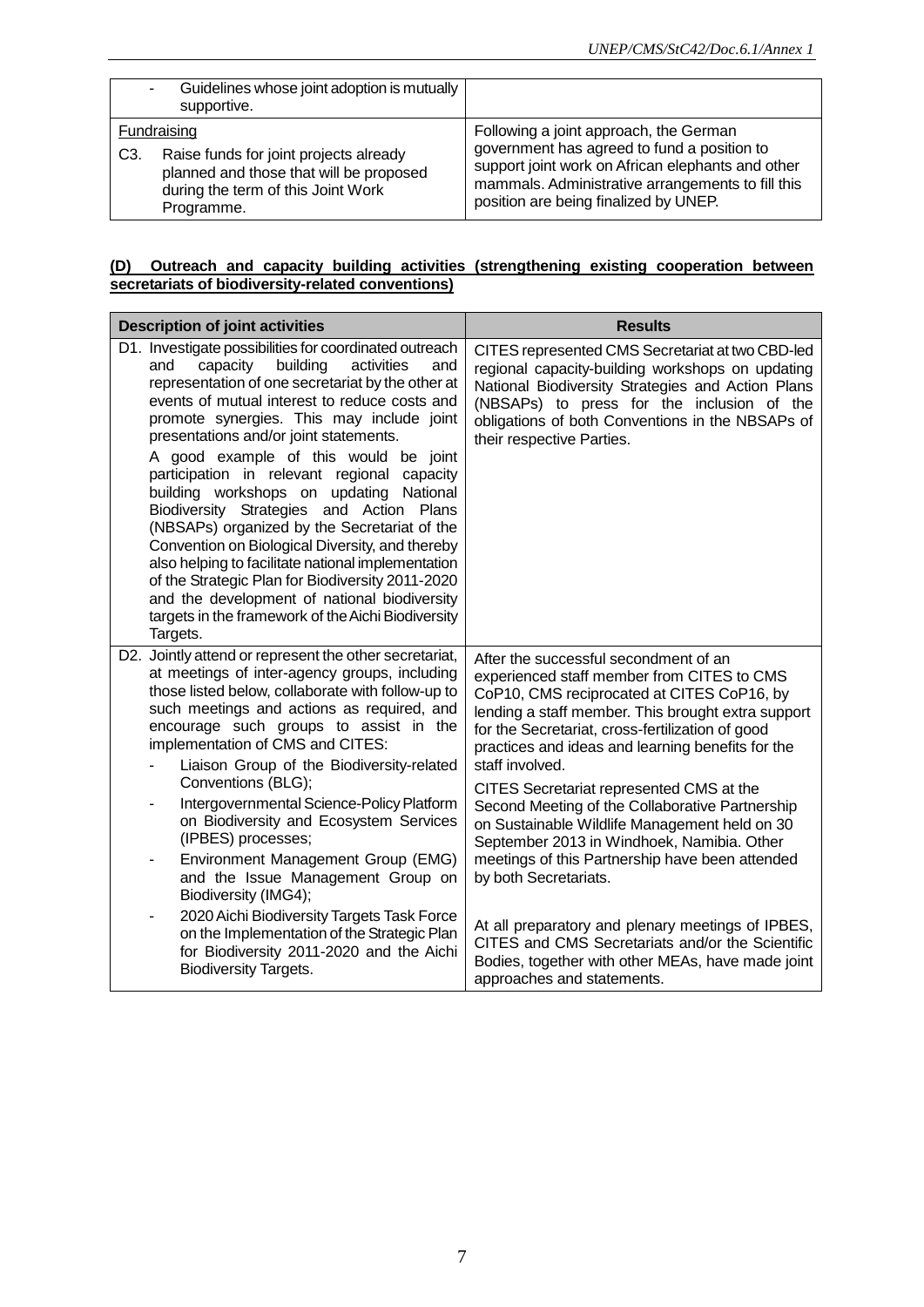| ٠              | Guidelines whose joint adoption is mutually<br>supportive.                                                                                           |                                                                                                                                                                                                                                          |
|----------------|------------------------------------------------------------------------------------------------------------------------------------------------------|------------------------------------------------------------------------------------------------------------------------------------------------------------------------------------------------------------------------------------------|
| C <sub>3</sub> | Fundraising<br>Raise funds for joint projects already<br>planned and those that will be proposed<br>during the term of this Joint Work<br>Programme. | Following a joint approach, the German<br>government has agreed to fund a position to<br>support joint work on African elephants and other<br>mammals. Administrative arrangements to fill this<br>position are being finalized by UNEP. |

#### **(D) Outreach and capacity building activities (strengthening existing cooperation between secretariats of biodiversity-related conventions)**

| <b>Description of joint activities</b>                                                                                                                                                                                                                                                                                                                                                                                                                                                                                                                                                                                                                                                                                                                                                                                   | <b>Results</b>                                                                                                                                                                                                                                                                                                                                                                                                                                                                                                                                                                                |
|--------------------------------------------------------------------------------------------------------------------------------------------------------------------------------------------------------------------------------------------------------------------------------------------------------------------------------------------------------------------------------------------------------------------------------------------------------------------------------------------------------------------------------------------------------------------------------------------------------------------------------------------------------------------------------------------------------------------------------------------------------------------------------------------------------------------------|-----------------------------------------------------------------------------------------------------------------------------------------------------------------------------------------------------------------------------------------------------------------------------------------------------------------------------------------------------------------------------------------------------------------------------------------------------------------------------------------------------------------------------------------------------------------------------------------------|
| D1. Investigate possibilities for coordinated outreach<br>capacity<br>building<br>and<br>activities<br>and<br>representation of one secretariat by the other at<br>events of mutual interest to reduce costs and<br>promote synergies. This may include joint<br>presentations and/or joint statements.<br>A good example of this would be joint<br>participation in relevant regional capacity<br>building workshops on updating<br>National<br>Biodiversity Strategies and Action Plans<br>(NBSAPs) organized by the Secretariat of the<br>Convention on Biological Diversity, and thereby<br>also helping to facilitate national implementation<br>of the Strategic Plan for Biodiversity 2011-2020<br>and the development of national biodiversity<br>targets in the framework of the Aichi Biodiversity<br>Targets. | CITES represented CMS Secretariat at two CBD-led<br>regional capacity-building workshops on updating<br>National Biodiversity Strategies and Action Plans<br>(NBSAPs) to press for the inclusion of the<br>obligations of both Conventions in the NBSAPs of<br>their respective Parties.                                                                                                                                                                                                                                                                                                      |
| D2. Jointly attend or represent the other secretariat,<br>at meetings of inter-agency groups, including<br>those listed below, collaborate with follow-up to<br>such meetings and actions as required, and<br>encourage such groups to assist in the<br>implementation of CMS and CITES:<br>Liaison Group of the Biodiversity-related<br>Conventions (BLG);<br>Intergovernmental Science-Policy Platform<br>-<br>on Biodiversity and Ecosystem Services<br>(IPBES) processes;<br>Environment Management Group (EMG)<br>and the Issue Management Group on<br>Biodiversity (IMG4);<br>2020 Aichi Biodiversity Targets Task Force                                                                                                                                                                                           | After the successful secondment of an<br>experienced staff member from CITES to CMS<br>CoP10, CMS reciprocated at CITES CoP16, by<br>lending a staff member. This brought extra support<br>for the Secretariat, cross-fertilization of good<br>practices and ideas and learning benefits for the<br>staff involved.<br>CITES Secretariat represented CMS at the<br>Second Meeting of the Collaborative Partnership<br>on Sustainable Wildlife Management held on 30<br>September 2013 in Windhoek, Namibia. Other<br>meetings of this Partnership have been attended<br>by both Secretariats. |
| on the Implementation of the Strategic Plan<br>for Biodiversity 2011-2020 and the Aichi<br><b>Biodiversity Targets.</b>                                                                                                                                                                                                                                                                                                                                                                                                                                                                                                                                                                                                                                                                                                  | At all preparatory and plenary meetings of IPBES,<br>CITES and CMS Secretariats and/or the Scientific<br>Bodies, together with other MEAs, have made joint<br>approaches and statements.                                                                                                                                                                                                                                                                                                                                                                                                      |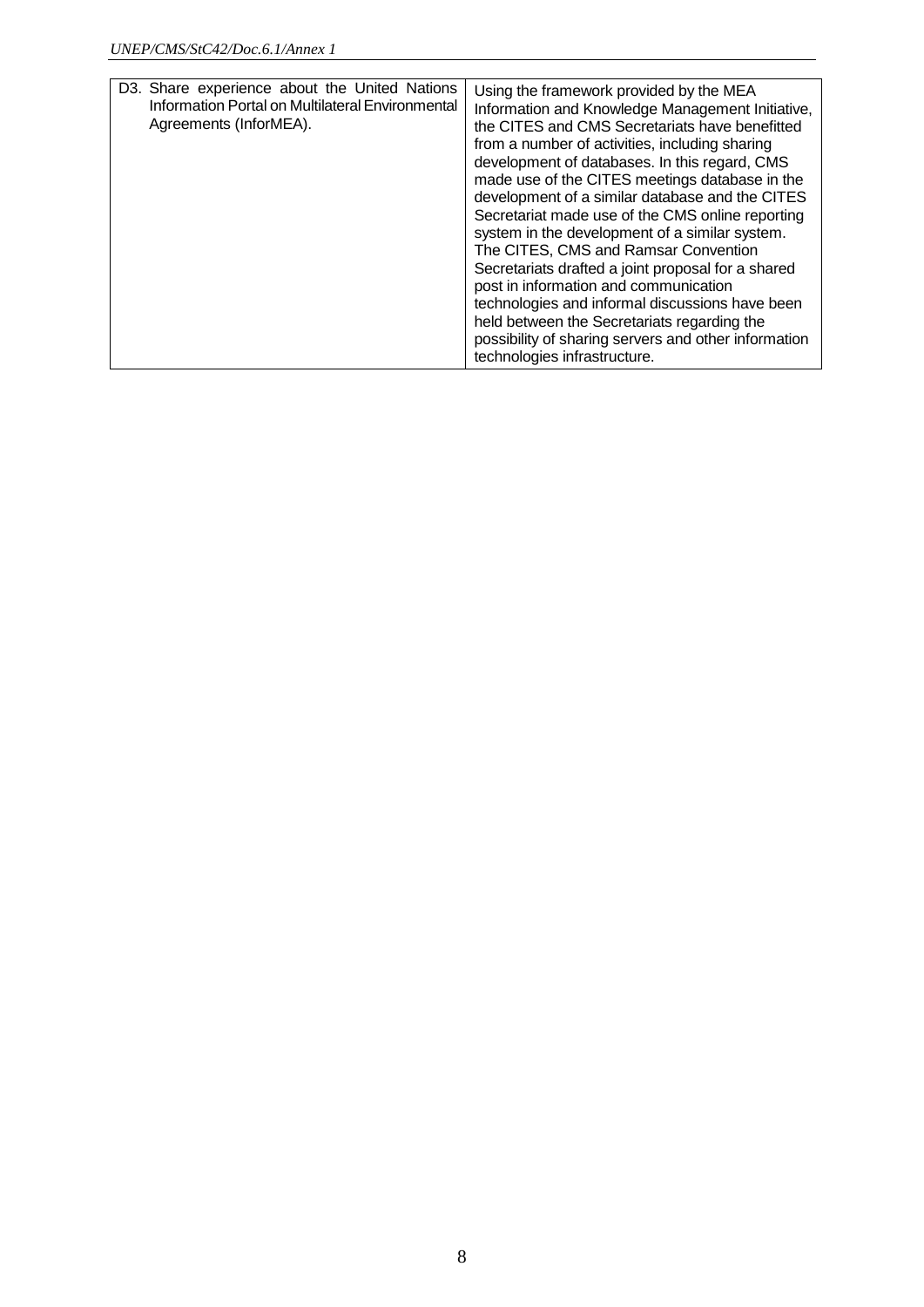| D3. Share experience about the United Nations<br>Information Portal on Multilateral Environmental<br>Agreements (InforMEA). | Using the framework provided by the MEA<br>Information and Knowledge Management Initiative,<br>the CITES and CMS Secretariats have benefitted<br>from a number of activities, including sharing<br>development of databases. In this regard, CMS<br>made use of the CITES meetings database in the<br>development of a similar database and the CITES<br>Secretariat made use of the CMS online reporting<br>system in the development of a similar system.<br>The CITES, CMS and Ramsar Convention<br>Secretariats drafted a joint proposal for a shared<br>post in information and communication<br>technologies and informal discussions have been<br>held between the Secretariats regarding the<br>possibility of sharing servers and other information<br>technologies infrastructure. |
|-----------------------------------------------------------------------------------------------------------------------------|----------------------------------------------------------------------------------------------------------------------------------------------------------------------------------------------------------------------------------------------------------------------------------------------------------------------------------------------------------------------------------------------------------------------------------------------------------------------------------------------------------------------------------------------------------------------------------------------------------------------------------------------------------------------------------------------------------------------------------------------------------------------------------------------|
|-----------------------------------------------------------------------------------------------------------------------------|----------------------------------------------------------------------------------------------------------------------------------------------------------------------------------------------------------------------------------------------------------------------------------------------------------------------------------------------------------------------------------------------------------------------------------------------------------------------------------------------------------------------------------------------------------------------------------------------------------------------------------------------------------------------------------------------------------------------------------------------------------------------------------------------|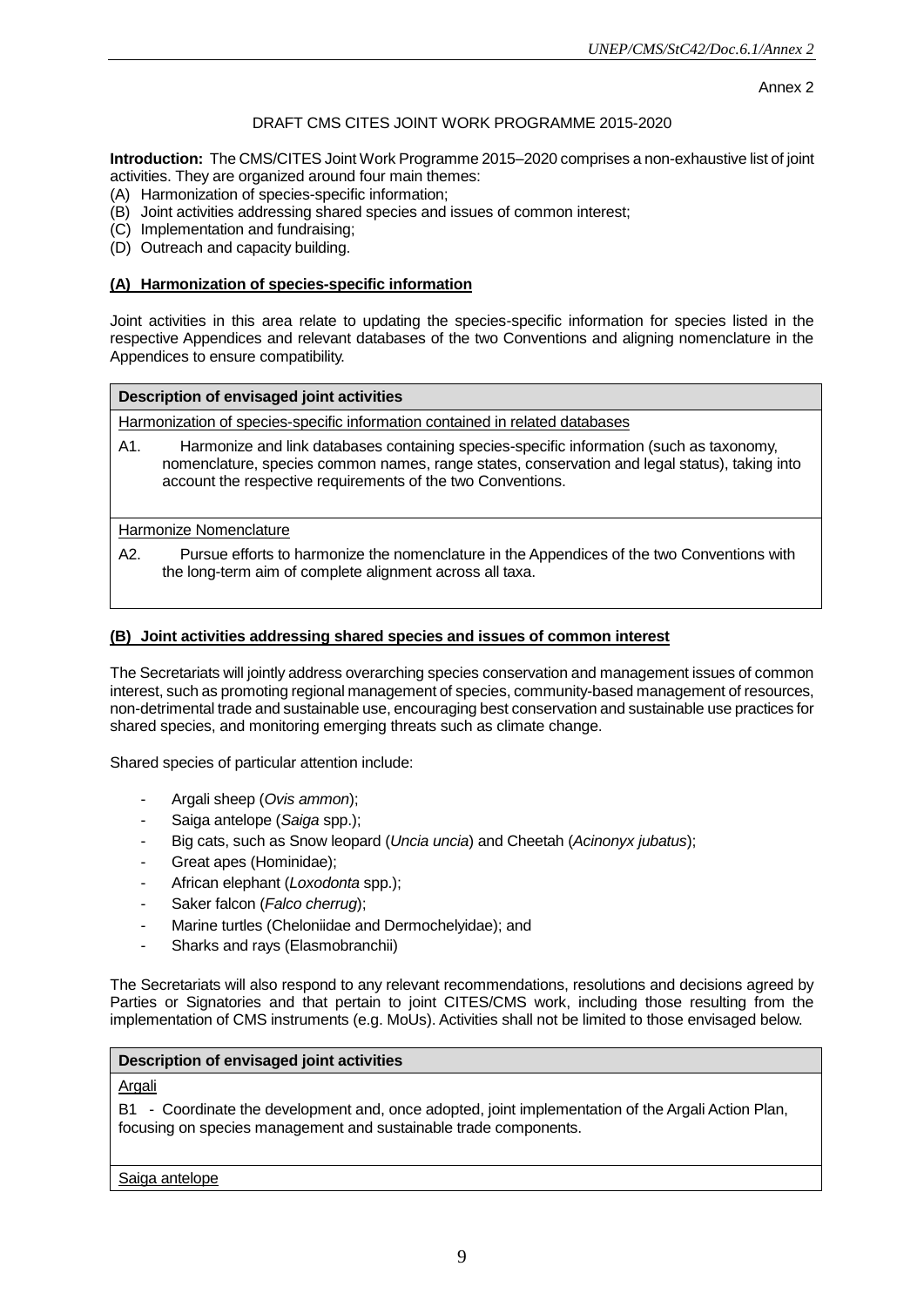#### Annex 2

#### DRAFT CMS CITES JOINT WORK PROGRAMME 2015-2020

**Introduction:** The CMS/CITES Joint Work Programme 2015–2020 comprises a non-exhaustive list of joint activities. They are organized around four main themes:

- (A) Harmonization of species-specific information;
- (B) Joint activities addressing shared species and issues of common interest;
- (C) Implementation and fundraising;
- (D) Outreach and capacity building.

#### **(A) Harmonization of species-specific information**

Joint activities in this area relate to updating the species-specific information for species listed in the respective Appendices and relevant databases of the two Conventions and aligning nomenclature in the Appendices to ensure compatibility.

#### **Description of envisaged joint activities**

Harmonization of species-specific information contained in related databases

A1. Harmonize and link databases containing species-specific information (such as taxonomy, nomenclature, species common names, range states, conservation and legal status), taking into account the respective requirements of the two Conventions.

Harmonize Nomenclature

A2. Pursue efforts to harmonize the nomenclature in the Appendices of the two Conventions with the long-term aim of complete alignment across all taxa.

#### **(B) Joint activities addressing shared species and issues of common interest**

The Secretariats will jointly address overarching species conservation and management issues of common interest, such as promoting regional management of species, community-based management of resources, non-detrimental trade and sustainable use, encouraging best conservation and sustainable use practices for shared species, and monitoring emerging threats such as climate change.

Shared species of particular attention include:

- Argali sheep (*Ovis ammon*);
- Saiga antelope (*Saiga* spp.);
- Big cats, such as Snow leopard (*Uncia uncia*) and Cheetah (*Acinonyx jubatus*);
- Great apes (Hominidae);
- African elephant (*Loxodonta* spp.);
- Saker falcon (*Falco cherrug*);
- Marine turtles (Cheloniidae and Dermochelyidae); and
- Sharks and rays (Elasmobranchii)

The Secretariats will also respond to any relevant recommendations, resolutions and decisions agreed by Parties or Signatories and that pertain to joint CITES/CMS work, including those resulting from the implementation of CMS instruments (e.g. MoUs). Activities shall not be limited to those envisaged below.

#### **Description of envisaged joint activities**

Argali

B1 - Coordinate the development and, once adopted, joint implementation of the Argali Action Plan, focusing on species management and sustainable trade components.

Saiga antelope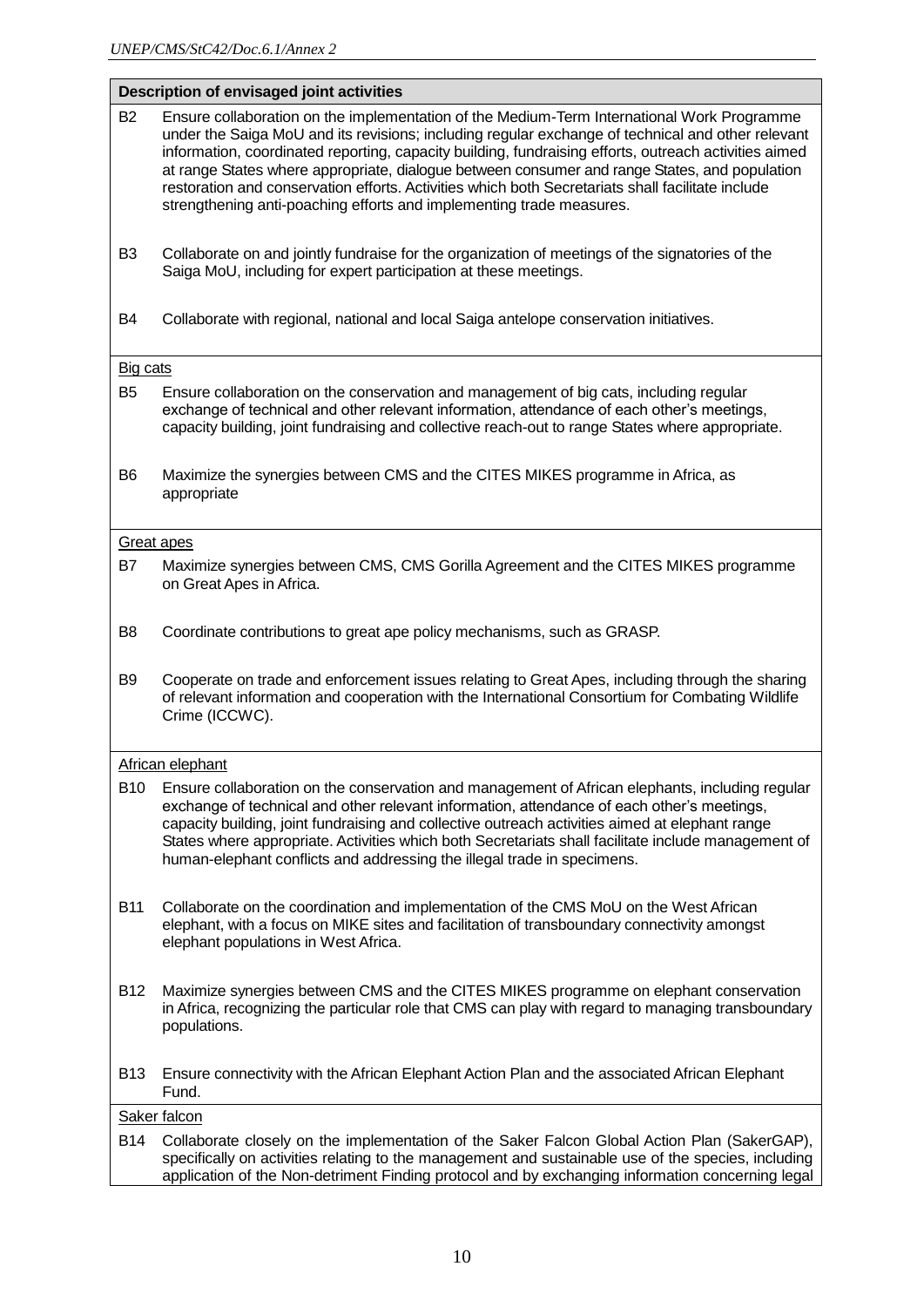# **Description of envisaged joint activities**

| <b>B2</b>         | Ensure collaboration on the implementation of the Medium-Term International Work Programme<br>under the Saiga MoU and its revisions; including regular exchange of technical and other relevant<br>information, coordinated reporting, capacity building, fundraising efforts, outreach activities aimed<br>at range States where appropriate, dialogue between consumer and range States, and population<br>restoration and conservation efforts. Activities which both Secretariats shall facilitate include<br>strengthening anti-poaching efforts and implementing trade measures. |
|-------------------|----------------------------------------------------------------------------------------------------------------------------------------------------------------------------------------------------------------------------------------------------------------------------------------------------------------------------------------------------------------------------------------------------------------------------------------------------------------------------------------------------------------------------------------------------------------------------------------|
| B <sub>3</sub>    | Collaborate on and jointly fundraise for the organization of meetings of the signatories of the<br>Saiga MoU, including for expert participation at these meetings.                                                                                                                                                                                                                                                                                                                                                                                                                    |
| B4                | Collaborate with regional, national and local Saiga antelope conservation initiatives.                                                                                                                                                                                                                                                                                                                                                                                                                                                                                                 |
| Big cats          |                                                                                                                                                                                                                                                                                                                                                                                                                                                                                                                                                                                        |
| B <sub>5</sub>    | Ensure collaboration on the conservation and management of big cats, including regular<br>exchange of technical and other relevant information, attendance of each other's meetings,<br>capacity building, joint fundraising and collective reach-out to range States where appropriate.                                                                                                                                                                                                                                                                                               |
| B6                | Maximize the synergies between CMS and the CITES MIKES programme in Africa, as<br>appropriate                                                                                                                                                                                                                                                                                                                                                                                                                                                                                          |
| <b>Great apes</b> |                                                                                                                                                                                                                                                                                                                                                                                                                                                                                                                                                                                        |
| B7                | Maximize synergies between CMS, CMS Gorilla Agreement and the CITES MIKES programme<br>on Great Apes in Africa.                                                                                                                                                                                                                                                                                                                                                                                                                                                                        |
| B8                | Coordinate contributions to great ape policy mechanisms, such as GRASP.                                                                                                                                                                                                                                                                                                                                                                                                                                                                                                                |
| B9                | Cooperate on trade and enforcement issues relating to Great Apes, including through the sharing<br>of relevant information and cooperation with the International Consortium for Combating Wildlife<br>Crime (ICCWC).                                                                                                                                                                                                                                                                                                                                                                  |
|                   | African elephant                                                                                                                                                                                                                                                                                                                                                                                                                                                                                                                                                                       |
| <b>B10</b>        | Ensure collaboration on the conservation and management of African elephants, including regular<br>exchange of technical and other relevant information, attendance of each other's meetings,<br>capacity building, joint fundraising and collective outreach activities aimed at elephant range<br>States where appropriate. Activities which both Secretariats shall facilitate include management of<br>human-elephant conflicts and addressing the illegal trade in specimens.                                                                                                     |
| <b>B11</b>        | Collaborate on the coordination and implementation of the CMS MoU on the West African<br>elephant, with a focus on MIKE sites and facilitation of transboundary connectivity amongst<br>elephant populations in West Africa.                                                                                                                                                                                                                                                                                                                                                           |
| B12               | Maximize synergies between CMS and the CITES MIKES programme on elephant conservation<br>in Africa, recognizing the particular role that CMS can play with regard to managing transboundary<br>populations.                                                                                                                                                                                                                                                                                                                                                                            |
| <b>B13</b>        | Ensure connectivity with the African Elephant Action Plan and the associated African Elephant<br>Fund.                                                                                                                                                                                                                                                                                                                                                                                                                                                                                 |
|                   | Saker falcon                                                                                                                                                                                                                                                                                                                                                                                                                                                                                                                                                                           |
| <b>B14</b>        | Collaborate closely on the implementation of the Saker Falcon Global Action Plan (SakerGAP),<br>specifically on activities relating to the management and sustainable use of the species, including<br>application of the Non-detriment Finding protocol and by exchanging information concerning legal                                                                                                                                                                                                                                                                                |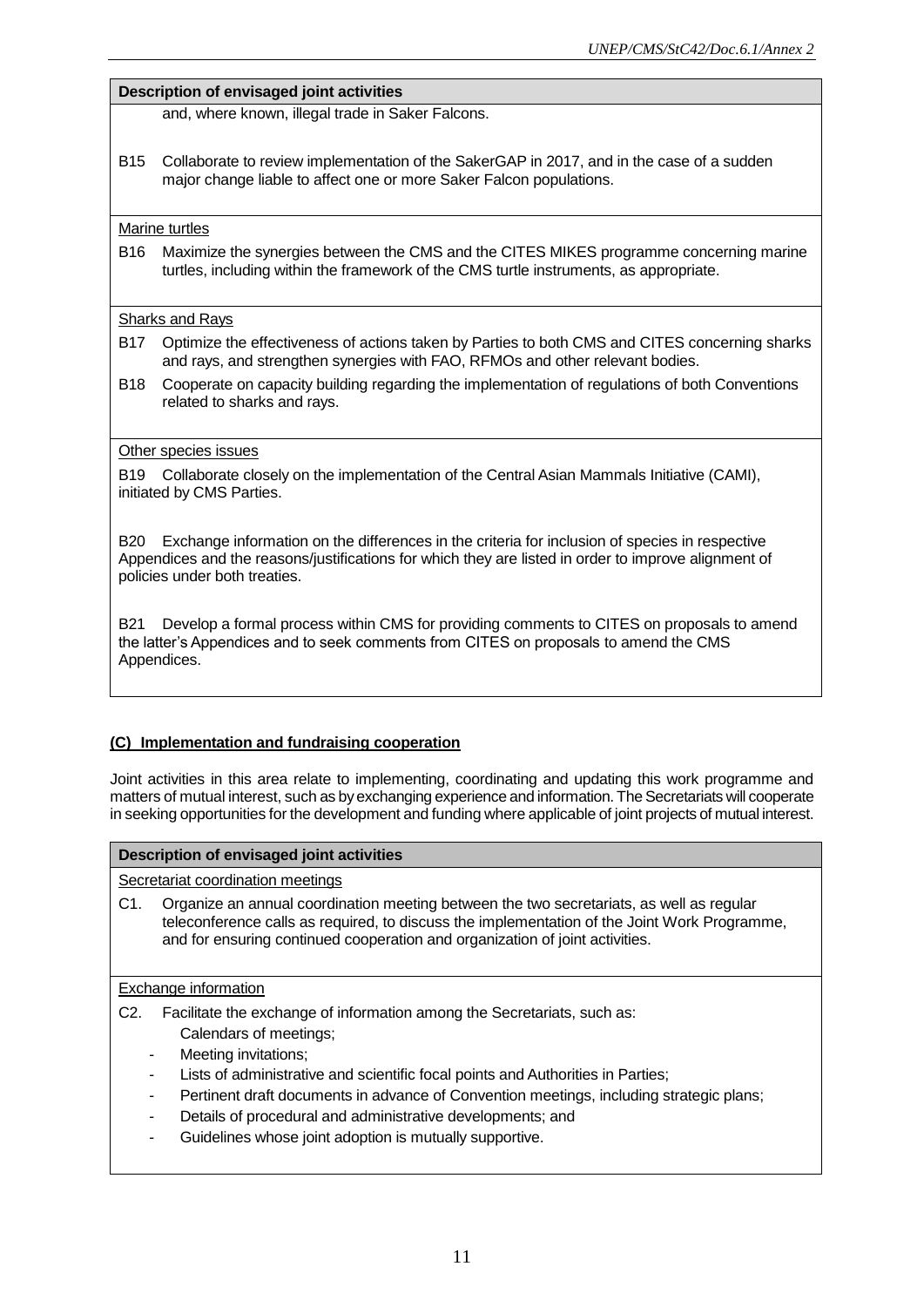#### **Description of envisaged joint activities**

and, where known, illegal trade in Saker Falcons.

B15 Collaborate to review implementation of the SakerGAP in 2017, and in the case of a sudden major change liable to affect one or more Saker Falcon populations.

#### Marine turtles

B16 Maximize the synergies between the CMS and the CITES MIKES programme concerning marine turtles, including within the framework of the CMS turtle instruments, as appropriate.

#### Sharks and Rays

- B17 Optimize the effectiveness of actions taken by Parties to both CMS and CITES concerning sharks and rays, and strengthen synergies with FAO, RFMOs and other relevant bodies.
- B18 Cooperate on capacity building regarding the implementation of regulations of both Conventions related to sharks and rays.

#### Other species issues

B19 Collaborate closely on the implementation of the Central Asian Mammals Initiative (CAMI), initiated by CMS Parties.

B20 Exchange information on the differences in the criteria for inclusion of species in respective Appendices and the reasons/justifications for which they are listed in order to improve alignment of policies under both treaties.

B21 Develop a formal process within CMS for providing comments to CITES on proposals to amend the latter's Appendices and to seek comments from CITES on proposals to amend the CMS Appendices.

#### **(C) Implementation and fundraising cooperation**

Joint activities in this area relate to implementing, coordinating and updating this work programme and matters of mutual interest, such as by exchanging experience and information. The Secretariats will cooperate in seeking opportunities for the development and funding where applicable of joint projects of mutual interest.

#### **Description of envisaged joint activities**

Secretariat coordination meetings

C1. Organize an annual coordination meeting between the two secretariats, as well as regular teleconference calls as required, to discuss the implementation of the Joint Work Programme, and for ensuring continued cooperation and organization of joint activities.

#### Exchange information

- C2. Facilitate the exchange of information among the Secretariats, such as:
	- Calendars of meetings;
	- Meeting invitations;
	- Lists of administrative and scientific focal points and Authorities in Parties;
	- Pertinent draft documents in advance of Convention meetings, including strategic plans;
	- Details of procedural and administrative developments; and
	- Guidelines whose joint adoption is mutually supportive.